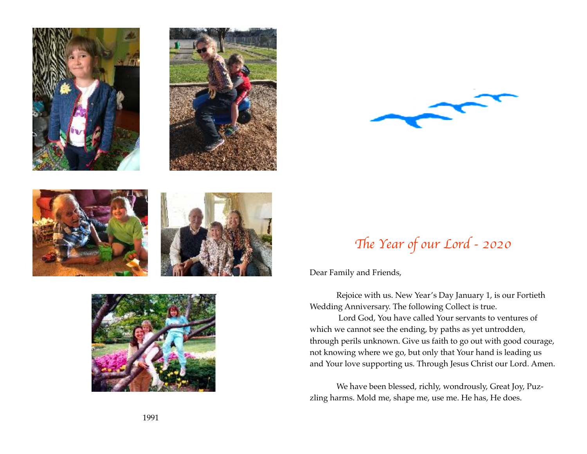









## Th*e Year of our Lord - 2020*

Dear Family and Friends,

Rejoice with us. New Year's Day January 1, is our Fortieth Wedding Anniversary. The following Collect is true.

 Lord God, You have called Your servants to ventures of which we cannot see the ending, by paths as yet untrodden, through perils unknown. Give us faith to go out with good courage, not knowing where we go, but only that Your hand is leading us and Your love supporting us. Through Jesus Christ our Lord. Amen.

We have been blessed, richly, wondrously, Great Joy, Puzzling harms. Mold me, shape me, use me. He has, He does.